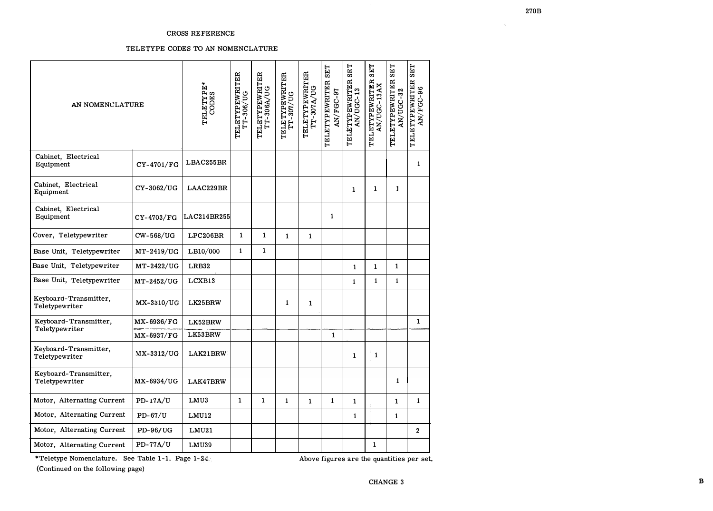## **CROSS REFERENCE**

## TELETYPE CODES TO AN NOMENCLATURE

| AN NOMENCLATURE                         |                 | TELETYPE <sup>*</sup><br>CODES | TELETYPEWRITER<br>TT-306/UG | TELETYPEWRITER<br>TT-306A/UG | TELETYPEWRITER<br>TT-307/UG | TELETYPEWRITER<br>$TT - 307A/UG$ | <b>SET</b><br>TELETYPEWRITER<br><b>AN/FGC-97</b> | <b>SET</b><br>TELETYPEWRITER<br>AN/UGC-13 | <b>SET</b><br>TELETYPEWRITER<br>AN/UGC-13AX | <b>SET</b><br>TELETYPEWRITER<br>AN/UGC-32 | <b>SET</b><br>TELETYPEWRITER<br><b>AN/FGC-96</b> |
|-----------------------------------------|-----------------|--------------------------------|-----------------------------|------------------------------|-----------------------------|----------------------------------|--------------------------------------------------|-------------------------------------------|---------------------------------------------|-------------------------------------------|--------------------------------------------------|
| Cabinet, Electrical<br>Equipment        | CY-4701/FG      | LBAC255BR                      |                             |                              |                             |                                  |                                                  |                                           |                                             |                                           | $\mathbf{1}$                                     |
| Cabinet, Electrical<br>Equipment        | CY-3062/UG      | LAAC229BR                      |                             |                              |                             |                                  |                                                  | 1                                         | $\mathbf{1}$                                | 1                                         |                                                  |
| Cabinet, Electrical<br>Equipment        | CY-4703/FG      | LAC214BR255                    |                             |                              |                             |                                  | $\mathbf{1}$                                     |                                           |                                             |                                           |                                                  |
| Cover, Teletypewriter                   | CW-568/UG       | LPC206BR                       | 1                           | 1                            | $\mathbf{1}$                | $\mathbf{1}$                     |                                                  |                                           |                                             |                                           |                                                  |
| Base Unit, Teletypewriter               | MT-2419/UG      | LB10/000                       | $\mathbf{1}$                | 1                            |                             |                                  |                                                  |                                           |                                             |                                           |                                                  |
| Base Unit, Teletypewriter               | MT-2422/UG      | LRB32                          |                             |                              |                             |                                  |                                                  | $\mathbf{1}$                              | $\mathbf{1}$                                | $\mathbf{1}$                              |                                                  |
| Base Unit, Teletypewriter               | MT-2452/UG      | LCXB13                         |                             |                              |                             |                                  |                                                  | $\mathbf{1}$                              | $\mathbf{1}$                                | $\mathbf{1}$                              |                                                  |
| Keyboard-Transmitter,<br>Teletypewriter | MX-3310/UG      | LK25BRW                        |                             |                              | 1                           | $\mathbf{1}$                     |                                                  |                                           |                                             |                                           |                                                  |
| Keyboard-Transmitter,<br>Teletypewriter | MX-6936/FG      | LK52BRW                        |                             |                              |                             |                                  |                                                  |                                           |                                             |                                           | $\mathbf{1}$                                     |
|                                         | $MX-6937/FG$    | LK53BRW                        |                             |                              |                             |                                  | $\mathbf{1}$                                     |                                           |                                             |                                           |                                                  |
| Keyboard-Transmitter,<br>Teletypewriter | $MX-3312/UG$    | LAK21BRW                       |                             |                              |                             |                                  |                                                  | 1                                         | $\mathbf{1}$                                |                                           |                                                  |
| Keyboard-Transmitter,<br>Teletypewriter | MX-6934/UG      | LAK47BRW                       |                             |                              |                             |                                  |                                                  |                                           |                                             | 1                                         |                                                  |
| Motor, Alternating Current              | PD-17A/U        | LMU3                           | $\mathbf{1}$                | $\mathbf{1}$                 | $\mathbf{1}$                | $\mathbf{1}$                     | $\mathbf{1}$                                     | $\mathbf{1}$                              |                                             | $\mathbf{1}$                              | $\mathbf{1}$                                     |
| Motor, Alternating Current              | $PD-67/U$       | LMU12                          |                             |                              |                             |                                  |                                                  | 1                                         |                                             | 1                                         |                                                  |
| Motor, Alternating Current              | <b>PD-96/UG</b> | LMU21                          |                             |                              |                             |                                  |                                                  |                                           |                                             |                                           | $\bf{2}$                                         |
| Motor, Alternating Current              | PD-77A/U        | LMU39                          |                             |                              |                             |                                  |                                                  |                                           | $\mathbf{1}$                                |                                           |                                                  |

\*Teletype Nomenclature. See Table 1-1. Page 1-24.

Above figures are the quantities per set.

(Continued on the following page)

 $\alpha_{\rm s}$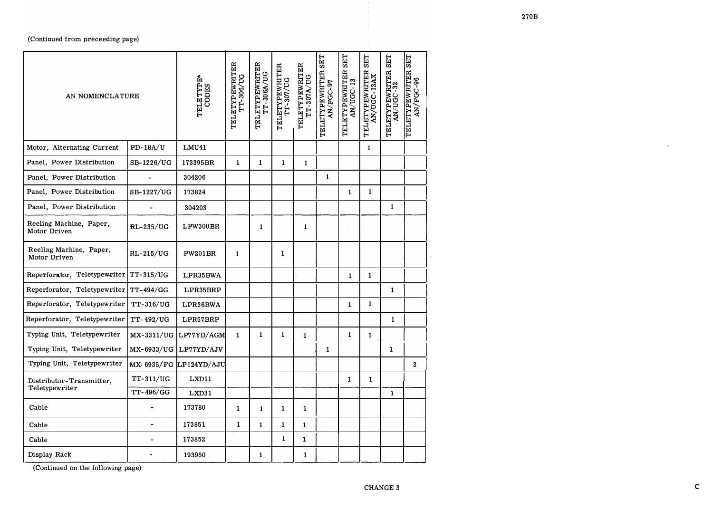| $PD-18A/U$<br><b>LMU41</b><br>Motor, Alternating Current<br>$\mathbf{1}$<br>Panel, Power Distribution<br>SB-1226/UG<br>173395BR<br>1<br>1<br>1<br>$\mathbf{1}$<br>Panel, Power Distribution<br>1<br>304206<br>173824<br>1<br>Panel, Power Distribution<br>SB-1227/UG<br>$\mathbf{1}$<br>Panel, Power Distribution<br>1<br>304203<br>Reeling Machine, Paper,<br>RL-235/UG<br>$\mathbf{1}$<br>LPW300BR<br>1<br>Motor Driven<br>Reeling Machine, Paper,<br><b>RL-215/UG</b><br><b>PW201BR</b><br>$\mathbf{1}$<br>$\mathbf{1}$<br>Motor Driven<br>Reperforator, Teletypewriter   TT-315/UG<br>LPR35BWA<br>1<br>1<br>Reperforator, Teletypewriter   TT-494/GG<br>$\mathbf{1}$<br>LPR35BRP<br><b>TT-316/UG</b><br>1<br>LPR36BWA<br>1<br>TT-492/UG<br>LPR57BRP<br>1<br>Typing Unit, Teletypewriter<br>1<br>MX-3311/UG<br>$\mathbf{1}$<br>1<br>1<br>LP77YD/AGM<br>$\mathbf{1}$<br>$\mathbf{1}$<br>Typing Unit, Teletypewriter<br>MX-6933/UG LP77YD/AJV<br>1<br>1<br>Typing Unit, Teletypewriter<br>$MX - 6935/FG$ LP124YD/AJU<br>3<br>TT-311/UG<br>LXD11<br>1<br>1<br>Distributor-Transmitter,<br>Teletypewriter<br>TT-496/GG<br>LXD31<br>$\mathbf{1}$<br>173780<br>Cable<br>1<br>$\mathbf{1}$<br>$\mathbf{1}$<br>$\mathbf{1}$<br>173851<br>1<br>$\mathbf{1}$<br>$\mathbf{1}$<br>Cable<br>1<br>$\bullet$<br>1<br>$\mathbf{1}$<br>173852<br>Cable<br>Display Rack<br>193950<br>1<br>$\mathbf{1}$ | AN NOMENCLATURE              |  | TELETYPE*<br>CODES | TELETYPEWRITER<br>TT-306/UG | TELETYPEWRITER<br>TT-306A/UG | TELETYPEWRITER<br>TT-307/UG | TELETYPEWRITER<br>TT-307A/UG | <b>SET</b><br>TELETYPEWRITER<br><b>AN/FGC-97</b> | <b>SET</b><br>TELETYPEWRITER<br>AN/UGC-13 | <b>SET</b><br>TELETYPEWRITER<br>AN/UGC-13AX | <b>SET</b><br>TELETYPEWRITER<br>AN/UGC-32 | <b>SET</b><br>TELETYPEWRITER<br>AN/FGC-96<br>AN/FGC- |
|-----------------------------------------------------------------------------------------------------------------------------------------------------------------------------------------------------------------------------------------------------------------------------------------------------------------------------------------------------------------------------------------------------------------------------------------------------------------------------------------------------------------------------------------------------------------------------------------------------------------------------------------------------------------------------------------------------------------------------------------------------------------------------------------------------------------------------------------------------------------------------------------------------------------------------------------------------------------------------------------------------------------------------------------------------------------------------------------------------------------------------------------------------------------------------------------------------------------------------------------------------------------------------------------------------------------------------------------------------------------------------------------|------------------------------|--|--------------------|-----------------------------|------------------------------|-----------------------------|------------------------------|--------------------------------------------------|-------------------------------------------|---------------------------------------------|-------------------------------------------|------------------------------------------------------|
|                                                                                                                                                                                                                                                                                                                                                                                                                                                                                                                                                                                                                                                                                                                                                                                                                                                                                                                                                                                                                                                                                                                                                                                                                                                                                                                                                                                         |                              |  |                    |                             |                              |                             |                              |                                                  |                                           |                                             |                                           |                                                      |
|                                                                                                                                                                                                                                                                                                                                                                                                                                                                                                                                                                                                                                                                                                                                                                                                                                                                                                                                                                                                                                                                                                                                                                                                                                                                                                                                                                                         |                              |  |                    |                             |                              |                             |                              |                                                  |                                           |                                             |                                           |                                                      |
|                                                                                                                                                                                                                                                                                                                                                                                                                                                                                                                                                                                                                                                                                                                                                                                                                                                                                                                                                                                                                                                                                                                                                                                                                                                                                                                                                                                         |                              |  |                    |                             |                              |                             |                              |                                                  |                                           |                                             |                                           |                                                      |
|                                                                                                                                                                                                                                                                                                                                                                                                                                                                                                                                                                                                                                                                                                                                                                                                                                                                                                                                                                                                                                                                                                                                                                                                                                                                                                                                                                                         |                              |  |                    |                             |                              |                             |                              |                                                  |                                           |                                             |                                           |                                                      |
|                                                                                                                                                                                                                                                                                                                                                                                                                                                                                                                                                                                                                                                                                                                                                                                                                                                                                                                                                                                                                                                                                                                                                                                                                                                                                                                                                                                         |                              |  |                    |                             |                              |                             |                              |                                                  |                                           |                                             |                                           |                                                      |
|                                                                                                                                                                                                                                                                                                                                                                                                                                                                                                                                                                                                                                                                                                                                                                                                                                                                                                                                                                                                                                                                                                                                                                                                                                                                                                                                                                                         |                              |  |                    |                             |                              |                             |                              |                                                  |                                           |                                             |                                           |                                                      |
|                                                                                                                                                                                                                                                                                                                                                                                                                                                                                                                                                                                                                                                                                                                                                                                                                                                                                                                                                                                                                                                                                                                                                                                                                                                                                                                                                                                         |                              |  |                    |                             |                              |                             |                              |                                                  |                                           |                                             |                                           |                                                      |
|                                                                                                                                                                                                                                                                                                                                                                                                                                                                                                                                                                                                                                                                                                                                                                                                                                                                                                                                                                                                                                                                                                                                                                                                                                                                                                                                                                                         |                              |  |                    |                             |                              |                             |                              |                                                  |                                           |                                             |                                           |                                                      |
|                                                                                                                                                                                                                                                                                                                                                                                                                                                                                                                                                                                                                                                                                                                                                                                                                                                                                                                                                                                                                                                                                                                                                                                                                                                                                                                                                                                         |                              |  |                    |                             |                              |                             |                              |                                                  |                                           |                                             |                                           |                                                      |
|                                                                                                                                                                                                                                                                                                                                                                                                                                                                                                                                                                                                                                                                                                                                                                                                                                                                                                                                                                                                                                                                                                                                                                                                                                                                                                                                                                                         | Reperforator, Teletypewriter |  |                    |                             |                              |                             |                              |                                                  |                                           |                                             |                                           |                                                      |
|                                                                                                                                                                                                                                                                                                                                                                                                                                                                                                                                                                                                                                                                                                                                                                                                                                                                                                                                                                                                                                                                                                                                                                                                                                                                                                                                                                                         | Reperforator, Teletypewriter |  |                    |                             |                              |                             |                              |                                                  |                                           |                                             |                                           |                                                      |
|                                                                                                                                                                                                                                                                                                                                                                                                                                                                                                                                                                                                                                                                                                                                                                                                                                                                                                                                                                                                                                                                                                                                                                                                                                                                                                                                                                                         |                              |  |                    |                             |                              |                             |                              |                                                  |                                           |                                             |                                           |                                                      |
|                                                                                                                                                                                                                                                                                                                                                                                                                                                                                                                                                                                                                                                                                                                                                                                                                                                                                                                                                                                                                                                                                                                                                                                                                                                                                                                                                                                         |                              |  |                    |                             |                              |                             |                              |                                                  |                                           |                                             |                                           |                                                      |
|                                                                                                                                                                                                                                                                                                                                                                                                                                                                                                                                                                                                                                                                                                                                                                                                                                                                                                                                                                                                                                                                                                                                                                                                                                                                                                                                                                                         |                              |  |                    |                             |                              |                             |                              |                                                  |                                           |                                             |                                           |                                                      |
|                                                                                                                                                                                                                                                                                                                                                                                                                                                                                                                                                                                                                                                                                                                                                                                                                                                                                                                                                                                                                                                                                                                                                                                                                                                                                                                                                                                         |                              |  |                    |                             |                              |                             |                              |                                                  |                                           |                                             |                                           |                                                      |
|                                                                                                                                                                                                                                                                                                                                                                                                                                                                                                                                                                                                                                                                                                                                                                                                                                                                                                                                                                                                                                                                                                                                                                                                                                                                                                                                                                                         |                              |  |                    |                             |                              |                             |                              |                                                  |                                           |                                             |                                           |                                                      |
|                                                                                                                                                                                                                                                                                                                                                                                                                                                                                                                                                                                                                                                                                                                                                                                                                                                                                                                                                                                                                                                                                                                                                                                                                                                                                                                                                                                         |                              |  |                    |                             |                              |                             |                              |                                                  |                                           |                                             |                                           |                                                      |
|                                                                                                                                                                                                                                                                                                                                                                                                                                                                                                                                                                                                                                                                                                                                                                                                                                                                                                                                                                                                                                                                                                                                                                                                                                                                                                                                                                                         |                              |  |                    |                             |                              |                             |                              |                                                  |                                           |                                             |                                           |                                                      |
|                                                                                                                                                                                                                                                                                                                                                                                                                                                                                                                                                                                                                                                                                                                                                                                                                                                                                                                                                                                                                                                                                                                                                                                                                                                                                                                                                                                         |                              |  |                    |                             |                              |                             |                              |                                                  |                                           |                                             |                                           |                                                      |
|                                                                                                                                                                                                                                                                                                                                                                                                                                                                                                                                                                                                                                                                                                                                                                                                                                                                                                                                                                                                                                                                                                                                                                                                                                                                                                                                                                                         |                              |  |                    |                             |                              |                             |                              |                                                  |                                           |                                             |                                           |                                                      |

(Continued on the following page)

 $\sim$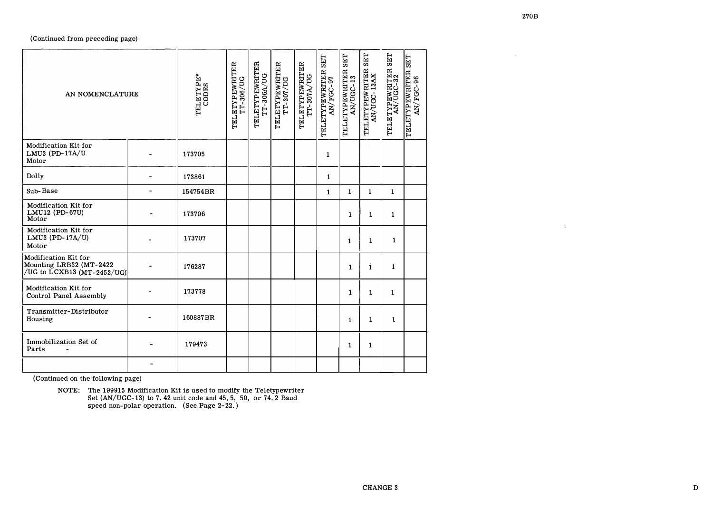| AN NOMENCLATURE                                                               |                          | TELETYPE*<br>CODES | TELETYPEWRITER<br>TT-306/UG | TELETYPEWRITER<br>TT-306A/UG | TELETYPEWRITER<br>TT-307/UG | TELETYPEWRITER<br>TT-307A/UG | <b>SET</b><br>TELETYPEWRITER<br>AN/FGC-97 | <b>SET</b><br>$\mathbf{r}$<br>TELETYPEWRITE:<br>AN/UGC-13 | <b>SET</b><br>TELETYPEWRITER<br>AN/UGC-13AX | <b>SET</b><br>TELETYPEWRITER<br>AN/UGC-32 | <b>SET</b><br>TELETYPEWRITER<br>96<br>AN/FGC- |
|-------------------------------------------------------------------------------|--------------------------|--------------------|-----------------------------|------------------------------|-----------------------------|------------------------------|-------------------------------------------|-----------------------------------------------------------|---------------------------------------------|-------------------------------------------|-----------------------------------------------|
| Modification Kit for<br>LMU3 (PD-17A/U<br>Motor                               |                          | 173705             |                             |                              |                             |                              | $\mathbf{1}$                              |                                                           |                                             |                                           |                                               |
| Dolly                                                                         |                          | 173861             |                             |                              |                             |                              | $\mathbf{1}$                              |                                                           |                                             |                                           |                                               |
| Sub-Base                                                                      |                          | 154754BR           |                             |                              |                             |                              | $\mathbf{1}$                              | $\mathbf{1}$                                              | $\mathbf{1}$                                | $\mathbf{1}$                              |                                               |
| Modification Kit for<br>LMU12 (PD-67U)<br>Motor                               |                          | 173706             |                             |                              |                             |                              |                                           | $\mathbf{1}$                                              | $\mathbf{1}$                                | $\mathbf{1}$                              |                                               |
| Modification Kit for<br>LMU3 (PD-17A/U)<br>Motor                              |                          | 173707             |                             |                              |                             |                              |                                           | $\mathbf{1}$                                              | $\mathbf{1}$                                | $\mathbf{1}$                              |                                               |
| Modification Kit for<br>Mounting LRB32 (MT-2422<br>/UG to LCXB13 (MT-2452/UG) |                          | 176287             |                             |                              |                             |                              |                                           | $\mathbf{1}$                                              | $\mathbf{1}$                                | $\mathbf{1}$                              |                                               |
| Modification Kit for<br><b>Control Panel Assembly</b>                         |                          | 173778             |                             |                              |                             |                              |                                           | $\mathbf{1}$                                              | $\mathbf{1}$                                | $\mathbf{1}$                              |                                               |
| Transmitter-Distributor<br>Housing                                            |                          | 160887BR           |                             |                              |                             |                              |                                           | $\mathbf{1}$                                              | $\mathbf{1}$                                | $\mathbf{I}$                              |                                               |
| Immobilization Set of<br>Parts                                                |                          | 179473             |                             |                              |                             |                              |                                           | $\mathbf{1}$                                              | $\mathbf{1}$                                |                                           |                                               |
|                                                                               | $\overline{\phantom{0}}$ |                    |                             |                              |                             |                              |                                           |                                                           |                                             |                                           |                                               |

(Continued on the following page)

NOTE: The 199915 Modification Kit is used to modify the Teletypewriter<br>Set (AN/UGC-13) to 7.42 unit code and 45.5, 50, or 74.2 Baud<br>speed non-polar operation. (See Page 2-22.)

 $\sim 10^7$ 

 $\mathcal{L}_{\mathcal{A}}$  .